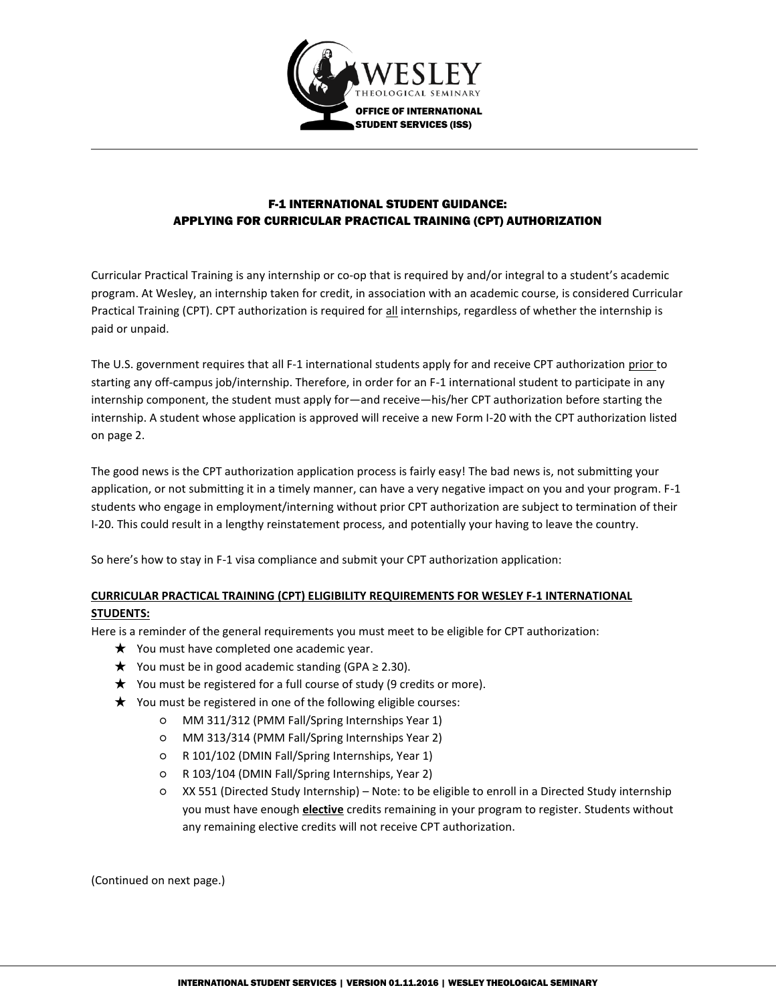

## F-1 INTERNATIONAL STUDENT GUIDANCE: APPLYING FOR CURRICULAR PRACTICAL TRAINING (CPT) AUTHORIZATION

Curricular Practical Training is any internship or co-op that is required by and/or integral to a student's academic program. At Wesley, an internship taken for credit, in association with an academic course, is considered Curricular Practical Training (CPT). CPT authorization is required for all internships, regardless of whether the internship is paid or unpaid.

The U.S. government requires that all F-1 international students apply for and receive CPT authorization prior to starting any off-campus job/internship. Therefore, in order for an F-1 international student to participate in any internship component, the student must apply for—and receive—his/her CPT authorization before starting the internship. A student whose application is approved will receive a new Form I-20 with the CPT authorization listed on page 2.

The good news is the CPT authorization application process is fairly easy! The bad news is, not submitting your application, or not submitting it in a timely manner, can have a very negative impact on you and your program. F-1 students who engage in employment/interning without prior CPT authorization are subject to termination of their I-20. This could result in a lengthy reinstatement process, and potentially your having to leave the country.

So here's how to stay in F-1 visa compliance and submit your CPT authorization application:

## **CURRICULAR PRACTICAL TRAINING (CPT) ELIGIBILITY REQUIREMENTS FOR WESLEY F-1 INTERNATIONAL STUDENTS:**

Here is a reminder of the general requirements you must meet to be eligible for CPT authorization:

- ★ You must have completed one academic year.
- ★ You must be in good academic standing (GPA ≥ 2.30).
- ★ You must be registered for a full course of study (9 credits or more).
- ★ You must be registered in one of the following eligible courses:
	- MM 311/312 (PMM Fall/Spring Internships Year 1)
	- MM 313/314 (PMM Fall/Spring Internships Year 2)
	- R 101/102 (DMIN Fall/Spring Internships, Year 1)
	- R 103/104 (DMIN Fall/Spring Internships, Year 2)
	- XX 551 (Directed Study Internship) Note: to be eligible to enroll in a Directed Study internship you must have enough **elective** credits remaining in your program to register. Students without any remaining elective credits will not receive CPT authorization.

(Continued on next page.)